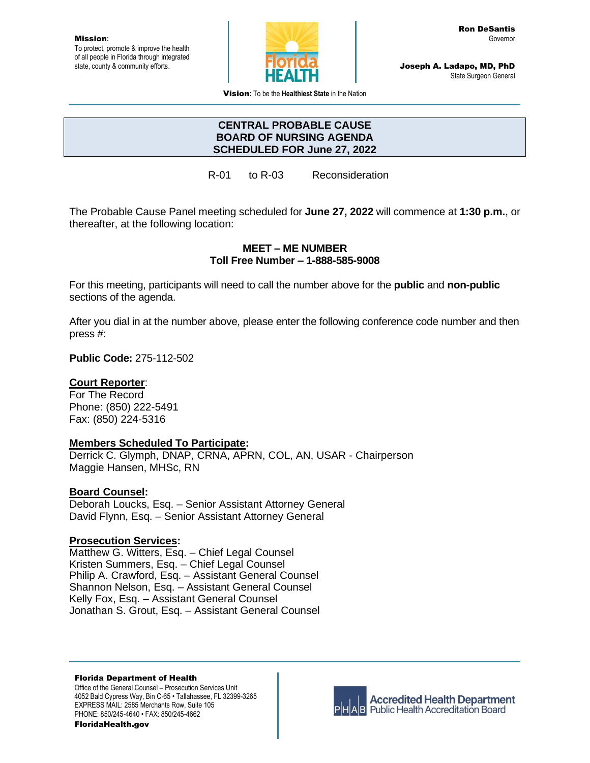Mission**:** To protect, promote & improve the health of all people in Florida through integrated state, county & community efforts.



Joseph A. Ladapo, MD, PhD State Surgeon General

Vision**:** To be the **Healthiest State** in the Nation

### **CENTRAL PROBABLE CAUSE BOARD OF NURSING AGENDA SCHEDULED FOR June 27, 2022**

R-01 to R-03 Reconsideration

The Probable Cause Panel meeting scheduled for **June 27, 2022** will commence at **1:30 p.m.**, or thereafter, at the following location:

#### **MEET – ME NUMBER Toll Free Number – 1-888-585-9008**

For this meeting, participants will need to call the number above for the **public** and **non-public** sections of the agenda.

After you dial in at the number above, please enter the following conference code number and then press #:

**Public Code:** 275-112-502

## **Court Reporter**:

For The Record Phone: (850) 222-5491 Fax: (850) 224-5316

## **Members Scheduled To Participate:**

Derrick C. Glymph, DNAP, CRNA, APRN, COL, AN, USAR - Chairperson Maggie Hansen, MHSc, RN

## **Board Counsel:**

Deborah Loucks, Esq. – Senior Assistant Attorney General David Flynn, Esq. – Senior Assistant Attorney General

## **Prosecution Services:**

Matthew G. Witters, Esq. – Chief Legal Counsel Kristen Summers, Esq. – Chief Legal Counsel Philip A. Crawford, Esq. – Assistant General Counsel Shannon Nelson, Esq. – Assistant General Counsel Kelly Fox, Esq. – Assistant General Counsel Jonathan S. Grout, Esq. – Assistant General Counsel

Florida Department of Health Office of the General Counsel – Prosecution Services Unit 4052 Bald Cypress Way, Bin C-65 • Tallahassee, FL 32399-3265 EXPRESS MAIL: 2585 Merchants Row, Suite 105 PHONE: 850/245-4640 • FAX: 850/245-4662

FloridaHealth.gov



**Accredited Health Department AB** Public Health Accreditation Board